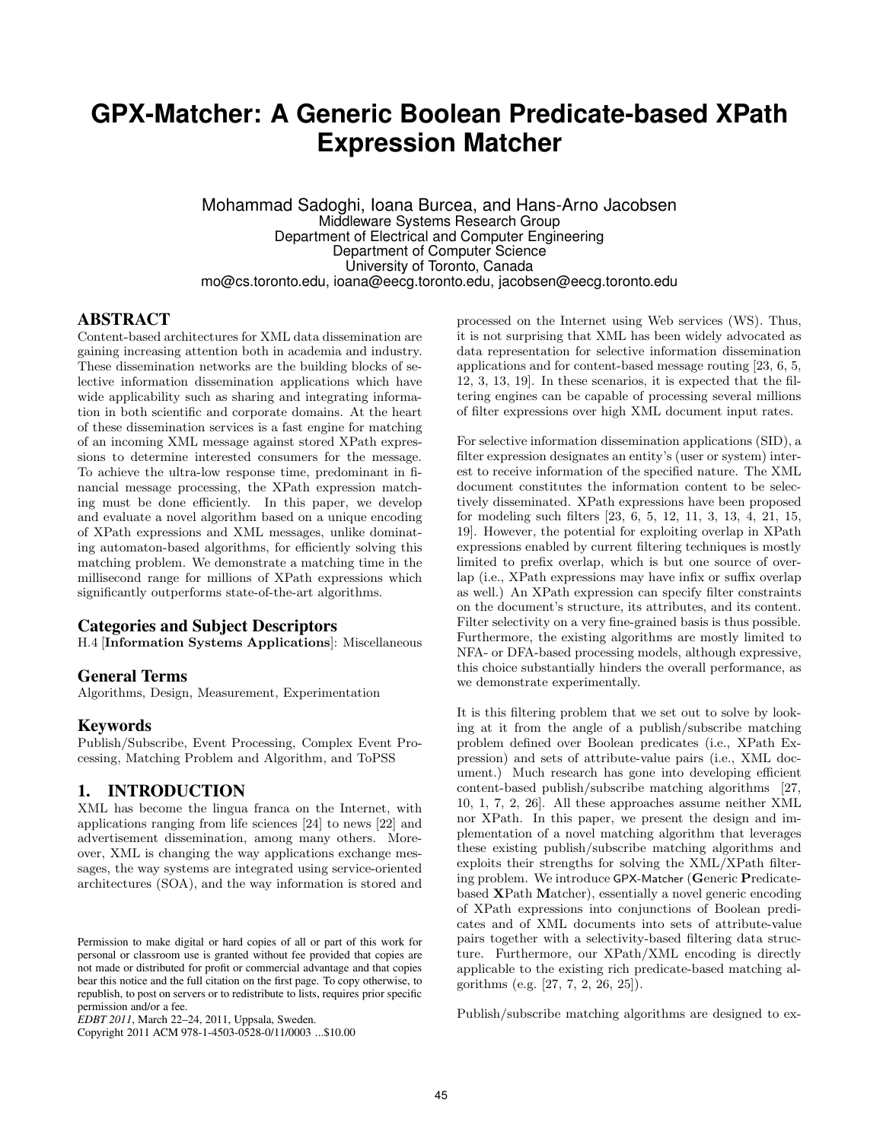# **GPX-Matcher: A Generic Boolean Predicate-based XPath Expression Matcher**

Mohammad Sadoghi, Ioana Burcea, and Hans-Arno Jacobsen Middleware Systems Research Group Department of Electrical and Computer Engineering Department of Computer Science University of Toronto, Canada mo@cs.toronto.edu, ioana@eecg.toronto.edu, jacobsen@eecg.toronto.edu

# **ABSTRACT**

Content-based architectures for XML data dissemination are gaining increasing attention both in academia and industry. These dissemination networks are the building blocks of selective information dissemination applications which have wide applicability such as sharing and integrating information in both scientific and corporate domains. At the heart of these dissemination services is a fast engine for matching of an incoming XML message against stored XPath expressions to determine interested consumers for the message. To achieve the ultra-low response time, predominant in financial message processing, the XPath expression matching must be done efficiently. In this paper, we develop and evaluate a novel algorithm based on a unique encoding of XPath expressions and XML messages, unlike dominating automaton-based algorithms, for efficiently solving this matching problem. We demonstrate a matching time in the millisecond range for millions of XPath expressions which significantly outperforms state-of-the-art algorithms.

#### **Categories and Subject Descriptors**

H.4 [Information Systems Applications]: Miscellaneous

#### **General Terms**

Algorithms, Design, Measurement, Experimentation

## **Keywords**

Publish/Subscribe, Event Processing, Complex Event Processing, Matching Problem and Algorithm, and ToPSS

# **1. INTRODUCTION**

XML has become the lingua franca on the Internet, with applications ranging from life sciences [24] to news [22] and advertisement dissemination, among many others. Moreover, XML is changing the way applications exchange messages, the way systems are integrated using service-oriented architectures (SOA), and the way information is stored and

Copyright 2011 ACM 978-1-4503-0528-0/11/0003 ...\$10.00

processed on the Internet using Web services (WS). Thus, it is not surprising that XML has been widely advocated as data representation for selective information dissemination applications and for content-based message routing [23, 6, 5, 12, 3, 13, 19]. In these scenarios, it is expected that the filtering engines can be capable of processing several millions of filter expressions over high XML document input rates.

For selective information dissemination applications (SID), a filter expression designates an entity's (user or system) interest to receive information of the specified nature. The XML document constitutes the information content to be selectively disseminated. XPath expressions have been proposed for modeling such filters [23, 6, 5, 12, 11, 3, 13, 4, 21, 15, 19]. However, the potential for exploiting overlap in XPath expressions enabled by current filtering techniques is mostly limited to prefix overlap, which is but one source of overlap (i.e., XPath expressions may have infix or suffix overlap as well.) An XPath expression can specify filter constraints on the document's structure, its attributes, and its content. Filter selectivity on a very fine-grained basis is thus possible. Furthermore, the existing algorithms are mostly limited to NFA- or DFA-based processing models, although expressive, this choice substantially hinders the overall performance, as we demonstrate experimentally.

It is this filtering problem that we set out to solve by looking at it from the angle of a publish/subscribe matching problem defined over Boolean predicates (i.e., XPath Expression) and sets of attribute-value pairs (i.e., XML document.) Much research has gone into developing efficient content-based publish/subscribe matching algorithms [27, 10, 1, 7, 2, 26]. All these approaches assume neither XML nor XPath. In this paper, we present the design and implementation of a novel matching algorithm that leverages these existing publish/subscribe matching algorithms and exploits their strengths for solving the XML/XPath filtering problem. We introduce GPX-Matcher (Generic Predicatebased XPath Matcher), essentially a novel generic encoding of XPath expressions into conjunctions of Boolean predicates and of XML documents into sets of attribute-value pairs together with a selectivity-based filtering data structure. Furthermore, our XPath/XML encoding is directly applicable to the existing rich predicate-based matching algorithms (e.g. [27, 7, 2, 26, 25]).

Publish/subscribe matching algorithms are designed to ex-

Permission to make digital or hard copies of all or part of this work for personal or classroom use is granted without fee provided that copies are not made or distributed for profit or commercial advantage and that copies bear this notice and the full citation on the first page. To copy otherwise, to republish, to post on servers or to redistribute to lists, requires prior specific permission and/or a fee.

*EDBT 2011*, March 22–24, 2011, Uppsala, Sweden.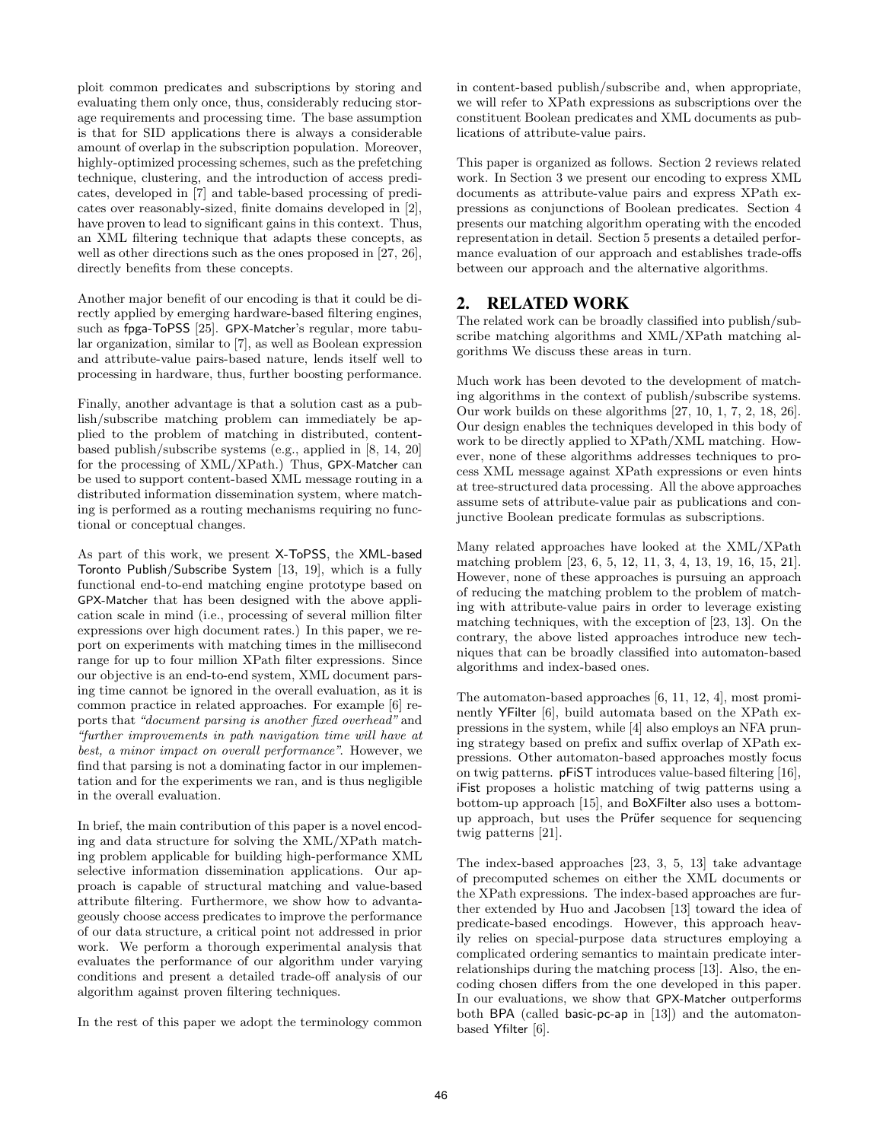ploit common predicates and subscriptions by storing and evaluating them only once, thus, considerably reducing storage requirements and processing time. The base assumption is that for SID applications there is always a considerable amount of overlap in the subscription population. Moreover, highly-optimized processing schemes, such as the prefetching technique, clustering, and the introduction of access predicates, developed in [7] and table-based processing of predicates over reasonably-sized, finite domains developed in [2], have proven to lead to significant gains in this context. Thus, an XML filtering technique that adapts these concepts, as well as other directions such as the ones proposed in [27, 26], directly benefits from these concepts.

Another major benefit of our encoding is that it could be directly applied by emerging hardware-based filtering engines, such as fpga-ToPSS [25]. GPX-Matcher's regular, more tabular organization, similar to [7], as well as Boolean expression and attribute-value pairs-based nature, lends itself well to processing in hardware, thus, further boosting performance.

Finally, another advantage is that a solution cast as a publish/subscribe matching problem can immediately be applied to the problem of matching in distributed, contentbased publish/subscribe systems (e.g., applied in [8, 14, 20] for the processing of XML/XPath.) Thus, GPX-Matcher can be used to support content-based XML message routing in a distributed information dissemination system, where matching is performed as a routing mechanisms requiring no functional or conceptual changes.

As part of this work, we present X-ToPSS, the XML-based Toronto Publish/Subscribe System [13, 19], which is a fully functional end-to-end matching engine prototype based on GPX-Matcher that has been designed with the above application scale in mind (i.e., processing of several million filter expressions over high document rates.) In this paper, we report on experiments with matching times in the millisecond range for up to four million XPath filter expressions. Since our objective is an end-to-end system, XML document parsing time cannot be ignored in the overall evaluation, as it is common practice in related approaches. For example [6] reports that "document parsing is another fixed overhead" and "further improvements in path navigation time will have at best, a minor impact on overall performance". However, we find that parsing is not a dominating factor in our implementation and for the experiments we ran, and is thus negligible in the overall evaluation.

In brief, the main contribution of this paper is a novel encoding and data structure for solving the XML/XPath matching problem applicable for building high-performance XML selective information dissemination applications. Our approach is capable of structural matching and value-based attribute filtering. Furthermore, we show how to advantageously choose access predicates to improve the performance of our data structure, a critical point not addressed in prior work. We perform a thorough experimental analysis that evaluates the performance of our algorithm under varying conditions and present a detailed trade-off analysis of our algorithm against proven filtering techniques.

In the rest of this paper we adopt the terminology common

in content-based publish/subscribe and, when appropriate, we will refer to XPath expressions as subscriptions over the constituent Boolean predicates and XML documents as publications of attribute-value pairs.

This paper is organized as follows. Section 2 reviews related work. In Section 3 we present our encoding to express XML documents as attribute-value pairs and express XPath expressions as conjunctions of Boolean predicates. Section 4 presents our matching algorithm operating with the encoded representation in detail. Section 5 presents a detailed performance evaluation of our approach and establishes trade-offs between our approach and the alternative algorithms.

# **2. RELATED WORK**

The related work can be broadly classified into publish/subscribe matching algorithms and XML/XPath matching algorithms We discuss these areas in turn.

Much work has been devoted to the development of matching algorithms in the context of publish/subscribe systems. Our work builds on these algorithms [27, 10, 1, 7, 2, 18, 26]. Our design enables the techniques developed in this body of work to be directly applied to XPath/XML matching. However, none of these algorithms addresses techniques to process XML message against XPath expressions or even hints at tree-structured data processing. All the above approaches assume sets of attribute-value pair as publications and conjunctive Boolean predicate formulas as subscriptions.

Many related approaches have looked at the XML/XPath matching problem [23, 6, 5, 12, 11, 3, 4, 13, 19, 16, 15, 21]. However, none of these approaches is pursuing an approach of reducing the matching problem to the problem of matching with attribute-value pairs in order to leverage existing matching techniques, with the exception of [23, 13]. On the contrary, the above listed approaches introduce new techniques that can be broadly classified into automaton-based algorithms and index-based ones.

The automaton-based approaches [6, 11, 12, 4], most prominently YFilter [6], build automata based on the XPath expressions in the system, while [4] also employs an NFA pruning strategy based on prefix and suffix overlap of XPath expressions. Other automaton-based approaches mostly focus on twig patterns. pFiST introduces value-based filtering [16], iFist proposes a holistic matching of twig patterns using a bottom-up approach [15], and BoXFilter also uses a bottomup approach, but uses the Prüfer sequence for sequencing twig patterns [21].

The index-based approaches [23, 3, 5, 13] take advantage of precomputed schemes on either the XML documents or the XPath expressions. The index-based approaches are further extended by Huo and Jacobsen [13] toward the idea of predicate-based encodings. However, this approach heavily relies on special-purpose data structures employing a complicated ordering semantics to maintain predicate interrelationships during the matching process [13]. Also, the encoding chosen differs from the one developed in this paper. In our evaluations, we show that GPX-Matcher outperforms both BPA (called basic-pc-ap in [13]) and the automatonbased Yfilter [6].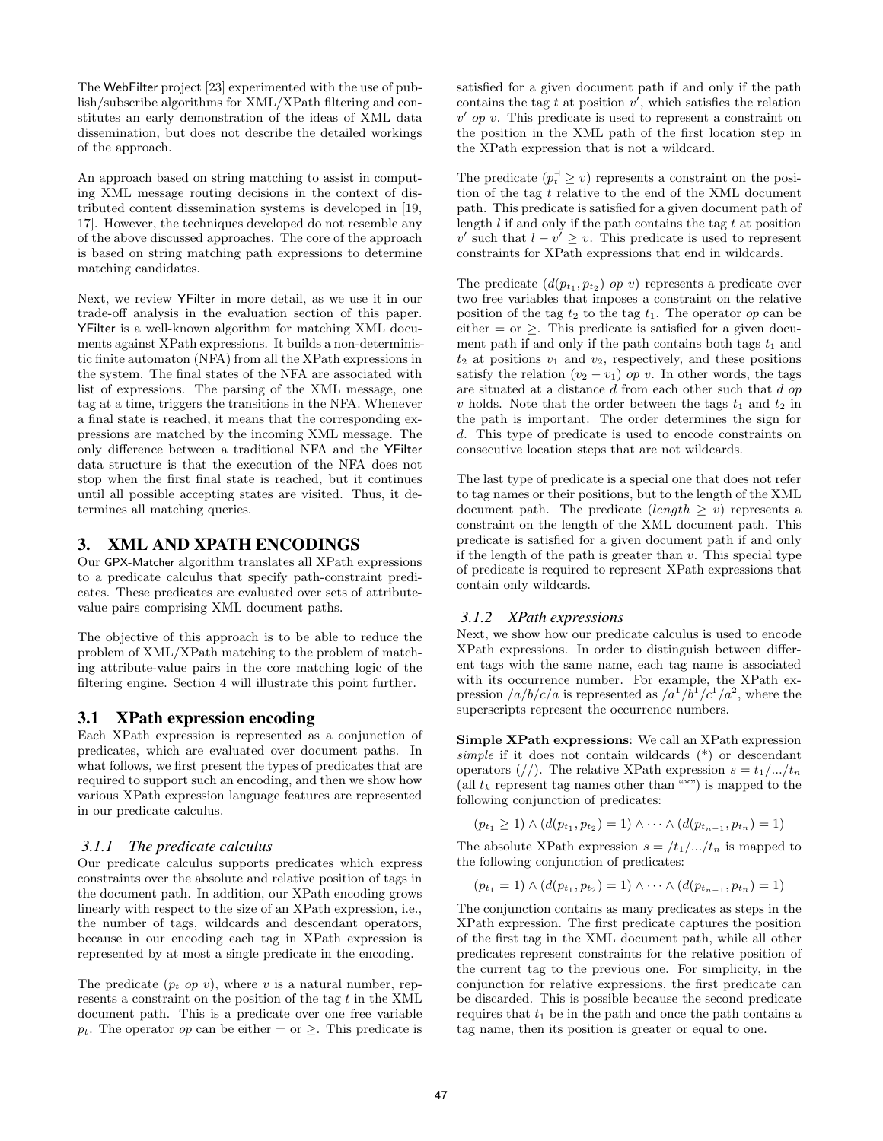The WebFilter project [23] experimented with the use of publish/subscribe algorithms for XML/XPath filtering and constitutes an early demonstration of the ideas of XML data dissemination, but does not describe the detailed workings of the approach.

An approach based on string matching to assist in computing XML message routing decisions in the context of distributed content dissemination systems is developed in [19, 17]. However, the techniques developed do not resemble any of the above discussed approaches. The core of the approach is based on string matching path expressions to determine matching candidates.

Next, we review YFilter in more detail, as we use it in our trade-off analysis in the evaluation section of this paper. YFilter is a well-known algorithm for matching XML documents against XPath expressions. It builds a non-deterministic finite automaton (NFA) from all the XPath expressions in the system. The final states of the NFA are associated with list of expressions. The parsing of the XML message, one tag at a time, triggers the transitions in the NFA. Whenever a final state is reached, it means that the corresponding expressions are matched by the incoming XML message. The only difference between a traditional NFA and the YFilter data structure is that the execution of the NFA does not stop when the first final state is reached, but it continues until all possible accepting states are visited. Thus, it determines all matching queries.

# **3. XML AND XPATH ENCODINGS**

Our GPX-Matcher algorithm translates all XPath expressions to a predicate calculus that specify path-constraint predicates. These predicates are evaluated over sets of attributevalue pairs comprising XML document paths.

The objective of this approach is to be able to reduce the problem of XML/XPath matching to the problem of matching attribute-value pairs in the core matching logic of the filtering engine. Section 4 will illustrate this point further.

#### **3.1 XPath expression encoding**

Each XPath expression is represented as a conjunction of predicates, which are evaluated over document paths. In what follows, we first present the types of predicates that are required to support such an encoding, and then we show how various XPath expression language features are represented in our predicate calculus.

#### *3.1.1 The predicate calculus*

Our predicate calculus supports predicates which express constraints over the absolute and relative position of tags in the document path. In addition, our XPath encoding grows linearly with respect to the size of an XPath expression, i.e., the number of tags, wildcards and descendant operators, because in our encoding each tag in XPath expression is represented by at most a single predicate in the encoding.

The predicate  $(p_t \text{ op } v)$ , where v is a natural number, represents a constraint on the position of the tag  $t$  in the XML document path. This is a predicate over one free variable  $p_t$ . The operator *op* can be either = or  $\geq$ . This predicate is satisfied for a given document path if and only if the path contains the tag t at position  $v'$ , which satisfies the relation  $v'$  op v. This predicate is used to represent a constraint on the position in the XML path of the first location step in the XPath expression that is not a wildcard.

The predicate  $(p_t^{\perp} \geq v)$  represents a constraint on the position of the tag t relative to the end of the XML document path. This predicate is satisfied for a given document path of length  $l$  if and only if the path contains the tag  $t$  at position v' such that  $l - v' \geq v$ . This predicate is used to represent constraints for XPath expressions that end in wildcards.

The predicate  $(d(p_{t_1}, p_{t_2})$  op v) represents a predicate over two free variables that imposes a constraint on the relative position of the tag  $t_2$  to the tag  $t_1$ . The operator op can be either  $=$  or  $\geq$ . This predicate is satisfied for a given document path if and only if the path contains both tags  $t_1$  and  $t_2$  at positions  $v_1$  and  $v_2$ , respectively, and these positions satisfy the relation  $(v_2 - v_1)$  op v. In other words, the tags are situated at a distance  $d$  from each other such that  $d$  op v holds. Note that the order between the tags  $t_1$  and  $t_2$  in the path is important. The order determines the sign for d. This type of predicate is used to encode constraints on consecutive location steps that are not wildcards.

The last type of predicate is a special one that does not refer to tag names or their positions, but to the length of the XML document path. The predicate  $(lenath > v)$  represents a constraint on the length of the XML document path. This predicate is satisfied for a given document path if and only if the length of the path is greater than  $v$ . This special type of predicate is required to represent XPath expressions that contain only wildcards.

#### *3.1.2 XPath expressions*

Next, we show how our predicate calculus is used to encode XPath expressions. In order to distinguish between different tags with the same name, each tag name is associated with its occurrence number. For example, the XPath expression  $\frac{a}{b}/c/a$  is represented as  $\frac{a^1}{b^1}/c^1/a^2$ , where the superscripts represent the occurrence numbers.

Simple XPath expressions: We call an XPath expression simple if it does not contain wildcards (\*) or descendant operators  $\left(\frac{1}{1}\right)$ . The relative XPath expression  $s = t_1/.../t_n$ (all  $t_k$  represent tag names other than "\*") is mapped to the following conjunction of predicates:

$$
(p_{t_1} \ge 1) \wedge (d(p_{t_1}, p_{t_2}) = 1) \wedge \cdots \wedge (d(p_{t_{n-1}}, p_{t_n}) = 1)
$$

The absolute XPath expression  $s = \frac{t_1}{...}t_n$  is mapped to the following conjunction of predicates:

$$
(p_{t_1} = 1) \wedge (d(p_{t_1}, p_{t_2}) = 1) \wedge \cdots \wedge (d(p_{t_{n-1}}, p_{t_n}) = 1)
$$

The conjunction contains as many predicates as steps in the XPath expression. The first predicate captures the position of the first tag in the XML document path, while all other predicates represent constraints for the relative position of the current tag to the previous one. For simplicity, in the conjunction for relative expressions, the first predicate can be discarded. This is possible because the second predicate requires that  $t_1$  be in the path and once the path contains a tag name, then its position is greater or equal to one.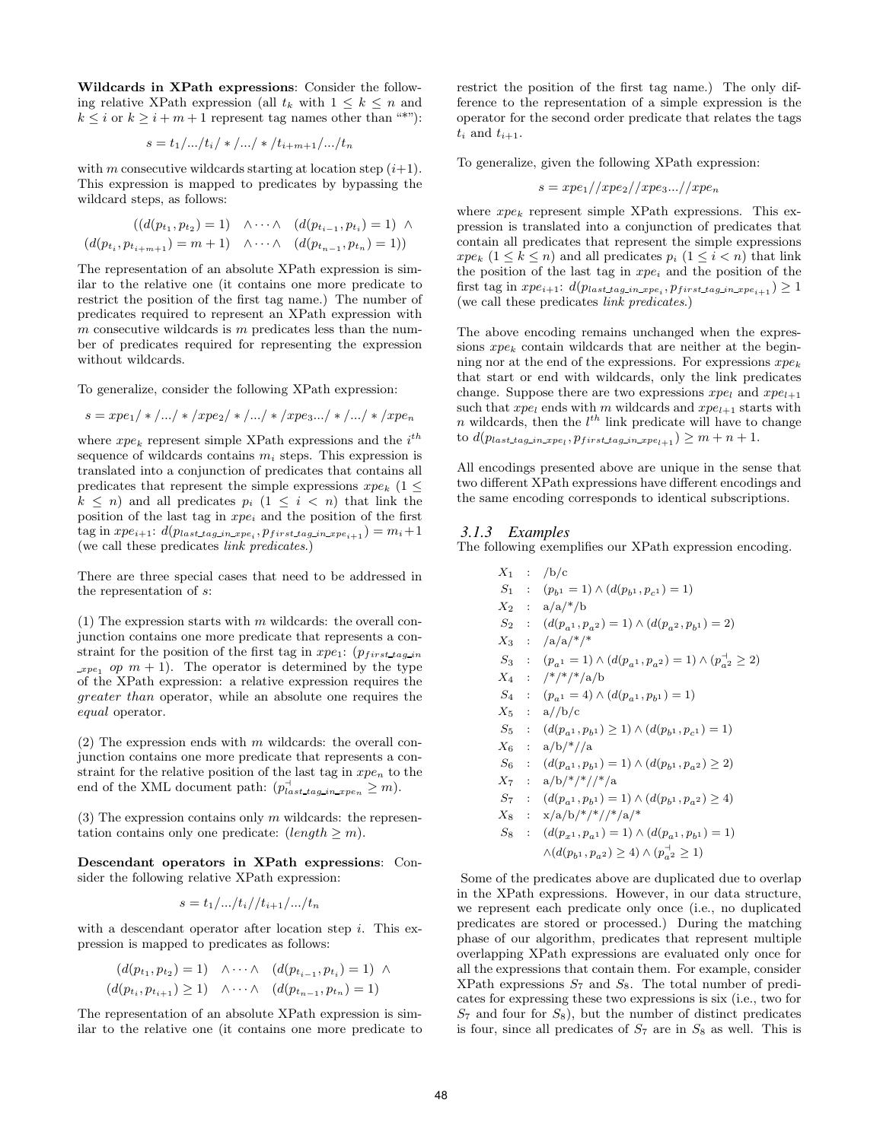Wildcards in XPath expressions: Consider the following relative XPath expression (all  $t_k$  with  $1 \leq k \leq n$  and  $k \leq i$  or  $k \geq i + m + 1$  represent tag names other than "\*"):

$$
s = t_1/...(t_i) * (... / * / t_{i+m+1}/...(t_n))
$$

with m consecutive wildcards starting at location step  $(i+1)$ . This expression is mapped to predicates by bypassing the wildcard steps, as follows:

$$
((d(p_{t_1}, p_{t_2}) = 1) \quad \land \cdots \land \quad (d(p_{t_{i-1}}, p_{t_i}) = 1) \land (d(p_{t_i}, p_{t_{i+m+1}}) = m+1) \quad \land \cdots \land \quad (d(p_{t_{n-1}}, p_{t_n}) = 1))
$$

The representation of an absolute XPath expression is similar to the relative one (it contains one more predicate to restrict the position of the first tag name.) The number of predicates required to represent an XPath expression with  $m$  consecutive wildcards is  $m$  predicates less than the number of predicates required for representing the expression without wildcards.

To generalize, consider the following XPath expression:

$$
s = xpe_1 \mid * \mid ... \mid * \mid xpe_2 \mid * \mid ... \mid * \mid xpe_3... \mid * \mid ... \mid * \mid xpe_n
$$

where  $xpe_k$  represent simple XPath expressions and the  $i^{th}$ sequence of wildcards contains  $m_i$  steps. This expression is translated into a conjunction of predicates that contains all predicates that represent the simple expressions  $xpe_k$  (1  $\leq$  $k \leq n$ ) and all predicates  $p_i$   $(1 \leq i \leq n)$  that link the position of the last tag in  $xpe_i$  and the position of the first  $tag in xpe_{i+1}: d(p_{last\_tag\_in\_xpe_i}, p_{first\_tag\_in\_xpe_{i+1}}) = m_i + 1$ (we call these predicates link predicates.)

There are three special cases that need to be addressed in the representation of s:

(1) The expression starts with  $m$  wildcards: the overall conjunction contains one more predicate that represents a constraint for the position of the first tag in  $xpe_1$ :  $(p_{first\_tag\_in}$  $x_{pe_1}$  op  $m + 1$ ). The operator is determined by the type of the XPath expression: a relative expression requires the greater than operator, while an absolute one requires the equal operator.

 $(2)$  The expression ends with m wildcards: the overall conjunction contains one more predicate that represents a constraint for the relative position of the last tag in  $xpe_n$  to the end of the XML document path:  $(p_{last\_tag\_in\_spe_n}^{-1} \ge m)$ .

 $(3)$  The expression contains only m wildcards: the representation contains only one predicate:  $(length \geq m)$ .

Descendant operators in XPath expressions: Consider the following relative XPath expression:

$$
s = t_1/ \ldots/ t_i \, / \, / t_{i+1} / \ldots / t_n
$$

with a descendant operator after location step  $i$ . This expression is mapped to predicates as follows:

$$
(d(p_{t_1}, p_{t_2}) = 1) \quad \wedge \cdots \wedge \quad (d(p_{t_{i-1}}, p_{t_i}) = 1) \quad \wedge (d(p_{t_i}, p_{t_{i+1}}) \ge 1) \quad \wedge \cdots \wedge \quad (d(p_{t_{n-1}}, p_{t_n}) = 1)
$$

The representation of an absolute XPath expression is similar to the relative one (it contains one more predicate to restrict the position of the first tag name.) The only difference to the representation of a simple expression is the operator for the second order predicate that relates the tags  $t_i$  and  $t_{i+1}$ .

To generalize, given the following XPath expression:

$$
s = xpe_1//xpe_2//xpe_3...//xpe_n
$$

where  $xpe_k$  represent simple XPath expressions. This expression is translated into a conjunction of predicates that contain all predicates that represent the simple expressions  $xpe_k$   $(1 \leq k \leq n)$  and all predicates  $p_i$   $(1 \leq i \leq n)$  that link the position of the last tag in  $xpe_i$  and the position of the first tag in  $xpe_{i+1}$ :  $d(p_{last\_tag\_in\_rep_{e_i}}, p_{first\_tag\_in\_rep_{e_{i+1}}}) \geq 1$ (we call these predicates link predicates.)

The above encoding remains unchanged when the expressions  $xpe_k$  contain wildcards that are neither at the beginning nor at the end of the expressions. For expressions  $xpe_k$ that start or end with wildcards, only the link predicates change. Suppose there are two expressions  $xpe_l$  and  $xpe_{l+1}$ such that  $xpe_l$  ends with m wildcards and  $xpe_{l+1}$  starts with n wildcards, then the  $l^{th}$  link predicate will have to change to  $d(p_{last\_tag\_in\_rep_{e_l}}, p_{first\_tag\_in\_xp_{e_{l+1}}}) \geq m+n+1.$ 

All encodings presented above are unique in the sense that two different XPath expressions have different encodings and the same encoding corresponds to identical subscriptions.

#### *3.1.3 Examples*

The following exemplifies our XPath expression encoding.

$$
X_1 : /b/c
$$
\n
$$
S_1 : (p_{b1} = 1) \land (d(p_{b1}, p_{c1}) = 1)
$$
\n
$$
X_2 : a/a/* /b
$$
\n
$$
S_2 : (d(p_{a1}, p_{a2}) = 1) \land (d(p_{a2}, p_{b1}) = 2)
$$
\n
$$
X_3 : /a/a/* *
$$
\n
$$
S_3 : (p_{a1} = 1) \land (d(p_{a1}, p_{a2}) = 1) \land (p_{a2}^{\perp} \ge 2)
$$
\n
$$
X_4 : /*/* /* /a/b
$$
\n
$$
S_4 : (p_{a1} = 4) \land (d(p_{a1}, p_{b1}) = 1)
$$
\n
$$
X_5 : a// b/c
$$
\n
$$
S_5 : (d(p_{a1}, p_{b1}) \ge 1) \land (d(p_{b1}, p_{c1}) = 1)
$$
\n
$$
X_6 : a/b/* /a
$$
\n
$$
S_6 : (d(p_{a1}, p_{b1}) = 1) \land (d(p_{b1}, p_{a2}) \ge 2)
$$
\n
$$
X_7 : a/b/* * /*/ * a
$$
\n
$$
S_7 : (d(p_{a1}, p_{b1}) = 1) \land (d(p_{b1}, p_{a2}) \ge 4)
$$
\n
$$
X_8 : x/a/b/* */ /* /a/*
$$
\n
$$
S_8 : (d(p_{a1}, p_{a1}) = 1) \land (d(p_{a1}, p_{b1}) = 1)
$$
\n
$$
\land (d(p_{b1}, p_{a2}) \ge 4) \land (p_{a2}^{\perp} \ge 1)
$$

Some of the predicates above are duplicated due to overlap in the XPath expressions. However, in our data structure, we represent each predicate only once (i.e., no duplicated predicates are stored or processed.) During the matching phase of our algorithm, predicates that represent multiple overlapping XPath expressions are evaluated only once for all the expressions that contain them. For example, consider XPath expressions  $S_7$  and  $S_8$ . The total number of predicates for expressing these two expressions is six (i.e., two for  $S_7$  and four for  $S_8$ ), but the number of distinct predicates is four, since all predicates of  $S_7$  are in  $S_8$  as well. This is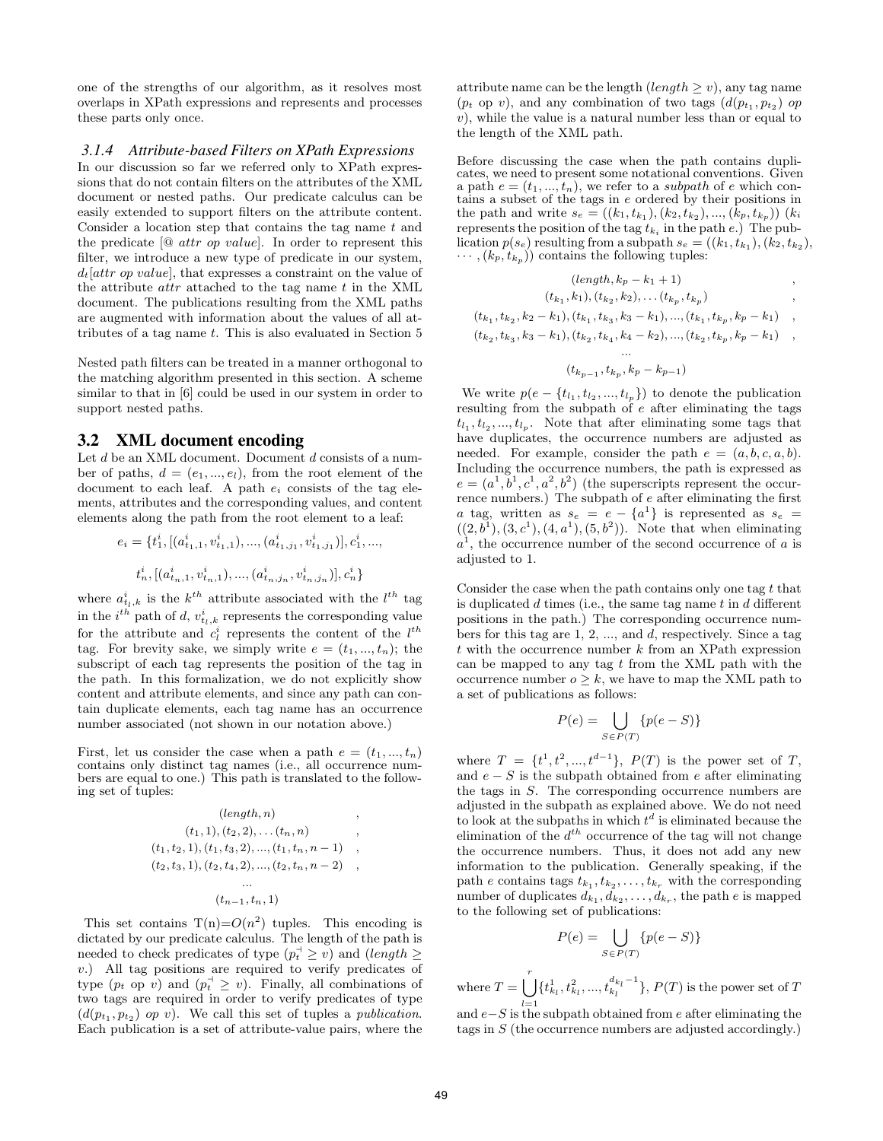one of the strengths of our algorithm, as it resolves most overlaps in XPath expressions and represents and processes these parts only once.

#### *3.1.4 Attribute-based Filters on XPath Expressions*

In our discussion so far we referred only to XPath expressions that do not contain filters on the attributes of the XML document or nested paths. Our predicate calculus can be easily extended to support filters on the attribute content. Consider a location step that contains the tag name  $t$  and the predicate  $[@$  attr op value. In order to represent this filter, we introduce a new type of predicate in our system,  $d_t[attr\ op\ value]$ , that expresses a constraint on the value of the attribute *attr* attached to the tag name  $t$  in the XML document. The publications resulting from the XML paths are augmented with information about the values of all attributes of a tag name  $t$ . This is also evaluated in Section  $5$ 

Nested path filters can be treated in a manner orthogonal to the matching algorithm presented in this section. A scheme similar to that in [6] could be used in our system in order to support nested paths.

## **3.2 XML document encoding**

Let  $d$  be an XML document. Document  $d$  consists of a number of paths,  $d = (e_1, ..., e_l)$ , from the root element of the document to each leaf. A path  $e_i$  consists of the tag elements, attributes and the corresponding values, and content elements along the path from the root element to a leaf:

$$
e_i = \{t^i_1, [(a^i_{t_1,1}, v^i_{t_1,1}), ..., (a^i_{t_1,j_1}, v^i_{t_1,j_1})], c^i_1, ...,
$$
  

$$
t^i_n, [(a^i_{t_n,1}, v^i_{t_n,1}), ..., (a^i_{t_n,j_n}, v^i_{t_n,j_n})], c^i_n\}
$$

where  $a_{t_l,k}^i$  is the  $k^{th}$  attribute associated with the  $l^{th}$  tag in the  $i^{th}$  path of d,  $v_{t_l,k}^i$  represents the corresponding value for the attribute and  $c_l^i$  represents the content of the  $l^{th}$ tag. For brevity sake, we simply write  $e = (t_1, ..., t_n)$ ; the subscript of each tag represents the position of the tag in the path. In this formalization, we do not explicitly show content and attribute elements, and since any path can contain duplicate elements, each tag name has an occurrence number associated (not shown in our notation above.)

First, let us consider the case when a path  $e = (t_1, ..., t_n)$ contains only distinct tag names (i.e., all occurrence numbers are equal to one.) This path is translated to the following set of tuples:

$$
(length, n) ,
$$
  
\n
$$
(t_1, 1), (t_2, 2), \ldots (t_n, n) ,
$$
  
\n
$$
(t_1, t_2, 1), (t_1, t_3, 2), \ldots, (t_1, t_n, n-1) ,
$$
  
\n
$$
(t_2, t_3, 1), (t_2, t_4, 2), \ldots, (t_2, t_n, n-2) ,
$$
  
\n
$$
\ldots
$$
  
\n
$$
(t_{n-1}, t_n, 1)
$$

This set contains  $T(n)=O(n^2)$  tuples. This encoding is dictated by our predicate calculus. The length of the path is needed to check predicates of type  $(p_t^{\perp} \ge v)$  and  $(length \ge$ v.) All tag positions are required to verify predicates of type  $(p_t$  op v) and  $(p_t^{\perp} \ge v)$ . Finally, all combinations of two tags are required in order to verify predicates of type  $(d(p_{t_1}, p_{t_2})$  op v). We call this set of tuples a publication. Each publication is a set of attribute-value pairs, where the attribute name can be the length  $(lenqth \geq v)$ , any tag name  $(p_t$  op v), and any combination of two tags  $(d(p_{t_1}, p_{t_2})$  op  $v$ ), while the value is a natural number less than or equal to the length of the XML path.

Before discussing the case when the path contains duplicates, we need to present some notational conventions. Given a path  $e = (t_1, ..., t_n)$ , we refer to a *subpath* of e which contains a subset of the tags in e ordered by their positions in the path and write  $s_e = ((k_1, t_{k_1}), (k_2, t_{k_2}), ..., (k_p, t_{k_p}))$   $(k_i)$ represents the position of the tag  $t_{k_i}$  in the path  $e$ .) The publication  $p(s_e)$  resulting from a subpath  $s_e = ((k_1, t_{k_1}), (k_2, t_{k_2}),$  $\cdots$ ,  $(k_p, t_{k_p})$  contains the following tuples:

$$
\begin{array}{cc} (length, k_p - k_1 + 1) & ,\\ (t_{k_1}, k_1), (t_{k_2}, k_2), \ldots (t_{k_p}, t_{k_p}) & ,\\ (t_{k_1}, t_{k_2}, k_2 - k_1), (t_{k_1}, t_{k_3}, k_3 - k_1), \ldots, (t_{k_1}, t_{k_p}, k_p - k_1) & ,\\ (t_{k_2}, t_{k_3}, k_3 - k_1), (t_{k_2}, t_{k_4}, k_4 - k_2), \ldots, (t_{k_2}, t_{k_p}, k_p - k_1) & ,\\ \ldots & \ldots & \ldots & \ldots \end{array}
$$

$$
(t_{k_{p-1}},t_{k_p},k_p-k_{p-1})
$$

We write  $p(e - \{t_{l_1}, t_{l_2}, ..., t_{l_p}\})$  to denote the publication resulting from the subpath of e after eliminating the tags  $t_{l_1}, t_{l_2}, ..., t_{l_p}$ . Note that after eliminating some tags that have duplicates, the occurrence numbers are adjusted as needed. For example, consider the path  $e = (a, b, c, a, b)$ . Including the occurrence numbers, the path is expressed as  $e = (a^1, b^1, c^1, a^2, b^2)$  (the superscripts represent the occurrence numbers.) The subpath of e after eliminating the first a tag, written as  $s_e = e - \{a^1\}$  is represented as  $s_e =$  $((2, b<sup>1</sup>), (3, c<sup>1</sup>), (4, a<sup>1</sup>), (5, b<sup>2</sup>)).$  Note that when eliminating  $a<sup>1</sup>$ , the occurrence number of the second occurrence of a is adjusted to 1.

Consider the case when the path contains only one tag  $t$  that is duplicated  $d$  times (i.e., the same tag name  $t$  in  $d$  different positions in the path.) The corresponding occurrence numbers for this tag are 1, 2, ..., and d, respectively. Since a tag  $t$  with the occurrence number  $k$  from an XPath expression can be mapped to any tag  $t$  from the XML path with the occurrence number  $o \geq k$ , we have to map the XML path to a set of publications as follows:

$$
P(e) = \bigcup_{S \in P(T)} \{p(e - S)\}
$$

where  $T = \{t^1, t^2, ..., t^{d-1}\}, P(T)$  is the power set of T, and  $e - S$  is the subpath obtained from e after eliminating the tags in S. The corresponding occurrence numbers are adjusted in the subpath as explained above. We do not need to look at the subpaths in which  $t^d$  is eliminated because the elimination of the  $d^{th}$  occurrence of the tag will not change the occurrence numbers. Thus, it does not add any new information to the publication. Generally speaking, if the path e contains tags  $t_{k_1}, t_{k_2}, \ldots, t_{k_r}$  with the corresponding number of duplicates  $d_{k_1}, d_{k_2}, \ldots, d_{k_r}$ , the path  $e$  is mapped to the following set of publications:

$$
P(e) = \bigcup_{S \in P(T)} \{p(e - S)\}
$$

where  $T = \bigcup_{l}^{r} \{t_{k_l}^1, t_{k_l}^2, ..., t_{k_l}^{d_{k_l}-1}\}$ and  $e-S$  is the subpath obtained from e after eliminating the  $\begin{bmatrix} \alpha_{k_l} \\ k_l \end{bmatrix}$ ,  $P(T)$  is the power set of T

tags in  $S$  (the occurrence numbers are adjusted accordingly.)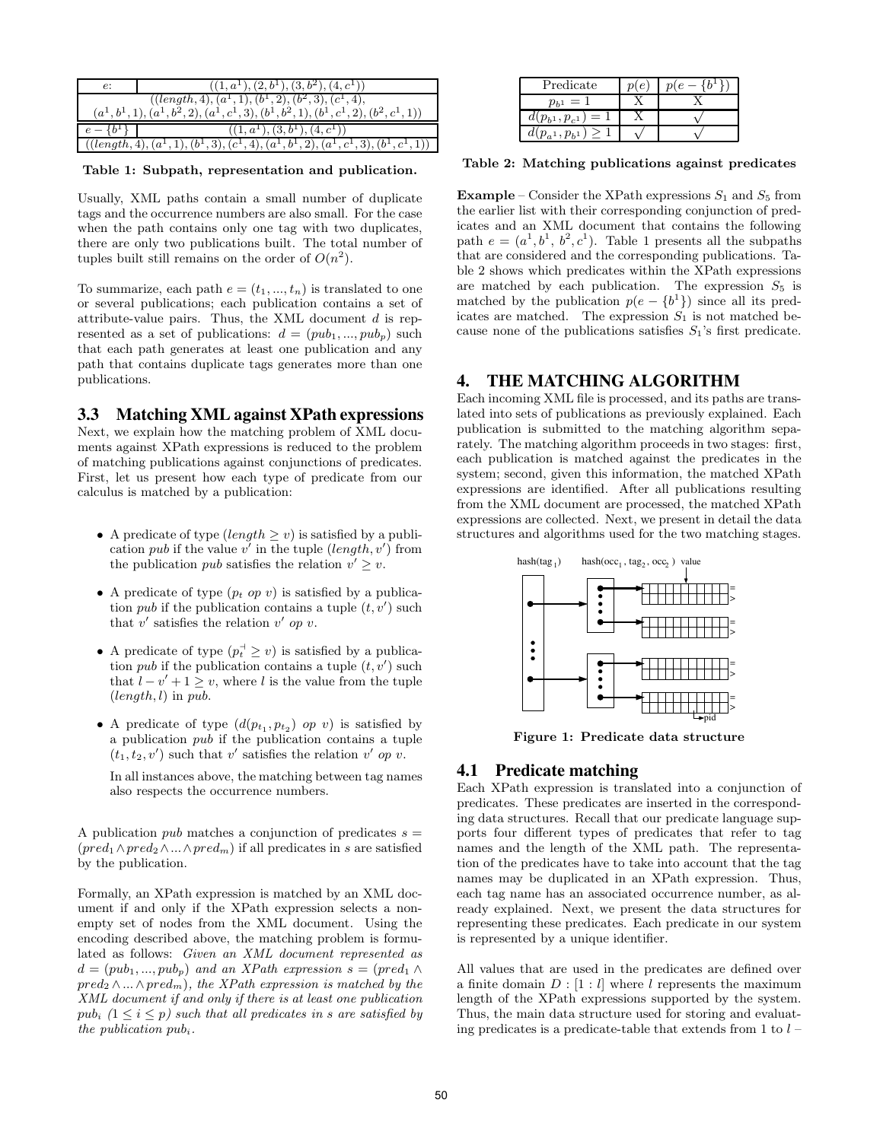| $e$ :                                                                           | $((1, a1), (2, b1), (3, b2), (4, c1))$                                                                  |  |  |
|---------------------------------------------------------------------------------|---------------------------------------------------------------------------------------------------------|--|--|
| $\overline{((length, 4), (a^1,1), (b^1,2), (b^2,3), (c^1,4))}$                  |                                                                                                         |  |  |
| $(a1, b1, 1), (a1, b2, 2), (a1, c1, 3), (b1, b2, 1), (b1, c1, 2), (b2, c1, 1))$ |                                                                                                         |  |  |
| $e - \{b^1\}$                                                                   | $((1, a1), (3, b1), (4, c1))$                                                                           |  |  |
|                                                                                 | $\left( (length, 4), (a^1, 1), (b^1, 3), (c^1, 4), (a^1, b^1, 2), (a^1, c^1, 3), (b^1, c^1, 1) \right)$ |  |  |

Table 1: Subpath, representation and publication.

Usually, XML paths contain a small number of duplicate tags and the occurrence numbers are also small. For the case when the path contains only one tag with two duplicates, there are only two publications built. The total number of tuples built still remains on the order of  $O(n^2)$ .

To summarize, each path  $e = (t_1, ..., t_n)$  is translated to one or several publications; each publication contains a set of attribute-value pairs. Thus, the XML document  $d$  is represented as a set of publications:  $d = (pub_1, ..., pub_p)$  such that each path generates at least one publication and any path that contains duplicate tags generates more than one publications.

# **3.3 Matching XML against XPath expressions**

Next, we explain how the matching problem of XML documents against XPath expressions is reduced to the problem of matching publications against conjunctions of predicates. First, let us present how each type of predicate from our calculus is matched by a publication:

- A predicate of type  $(length \geq v)$  is satisfied by a publication pub if the value v' in the tuple  $(length, v')$  from the publication *pub* satisfies the relation  $v' \geq v$ .
- A predicate of type  $(p_t \text{ op } v)$  is satisfied by a publication pub if the publication contains a tuple  $(t, v')$  such that  $v'$  satisfies the relation  $v'$  op v.
- A predicate of type  $(p_t^{\perp} \geq v)$  is satisfied by a publication pub if the publication contains a tuple  $(t, v')$  such that  $l - v' + 1 \geq v$ , where l is the value from the tuple  $(length, l)$  in pub.
- A predicate of type  $(d(p_{t_1}, p_{t_2})$  *op v*) is satisfied by a publication pub if the publication contains a tuple  $(t_1, t_2, v')$  such that v' satisfies the relation v' op v.

In all instances above, the matching between tag names also respects the occurrence numbers.

A publication pub matches a conjunction of predicates  $s =$  $(pred_1 \wedge pred_2 \wedge ... \wedge pred_m)$  if all predicates in s are satisfied by the publication.

Formally, an XPath expression is matched by an XML document if and only if the XPath expression selects a nonempty set of nodes from the XML document. Using the encoding described above, the matching problem is formulated as follows: Given an XML document represented as  $d = (pub_1, ..., pub_p)$  and an XPath expression  $s = (pred_1 \wedge$  $pred_2 \wedge ... \wedge pred_m$ , the XPath expression is matched by the XML document if and only if there is at least one publication pub<sub>i</sub>  $(1 \le i \le p)$  such that all predicates in s are satisfied by the publication  $pub<sub>i</sub>$ .

| Predicate                                   | $\epsilon$ |  |
|---------------------------------------------|------------|--|
| $p_h$                                       |            |  |
| $d(p_{b^1}, p_{c^1})$<br>$=$                |            |  |
| $p_{a}$ <sub>1</sub> , $p_{b}$ <sub>1</sub> |            |  |

Table 2: Matching publications against predicates

**Example** – Consider the XPath expressions  $S_1$  and  $S_5$  from the earlier list with their corresponding conjunction of predicates and an XML document that contains the following path  $e = (a^1, b^1, b^2, c^1)$ . Table 1 presents all the subpaths that are considered and the corresponding publications. Table 2 shows which predicates within the XPath expressions are matched by each publication. The expression  $S_5$  is matched by the publication  $p(e - \{b^1\})$  since all its predicates are matched. The expression  $S_1$  is not matched because none of the publications satisfies  $S_1$ 's first predicate.

# **4. THE MATCHING ALGORITHM**

Each incoming XML file is processed, and its paths are translated into sets of publications as previously explained. Each publication is submitted to the matching algorithm separately. The matching algorithm proceeds in two stages: first, each publication is matched against the predicates in the system; second, given this information, the matched XPath expressions are identified. After all publications resulting from the XML document are processed, the matched XPath expressions are collected. Next, we present in detail the data structures and algorithms used for the two matching stages.



Figure 1: Predicate data structure

# **4.1 Predicate matching**

Each XPath expression is translated into a conjunction of predicates. These predicates are inserted in the corresponding data structures. Recall that our predicate language supports four different types of predicates that refer to tag names and the length of the XML path. The representation of the predicates have to take into account that the tag names may be duplicated in an XPath expression. Thus, each tag name has an associated occurrence number, as already explained. Next, we present the data structures for representing these predicates. Each predicate in our system is represented by a unique identifier.

All values that are used in the predicates are defined over a finite domain  $D : [1 : l]$  where l represents the maximum length of the XPath expressions supported by the system. Thus, the main data structure used for storing and evaluating predicates is a predicate-table that extends from  $1$  to  $l$  –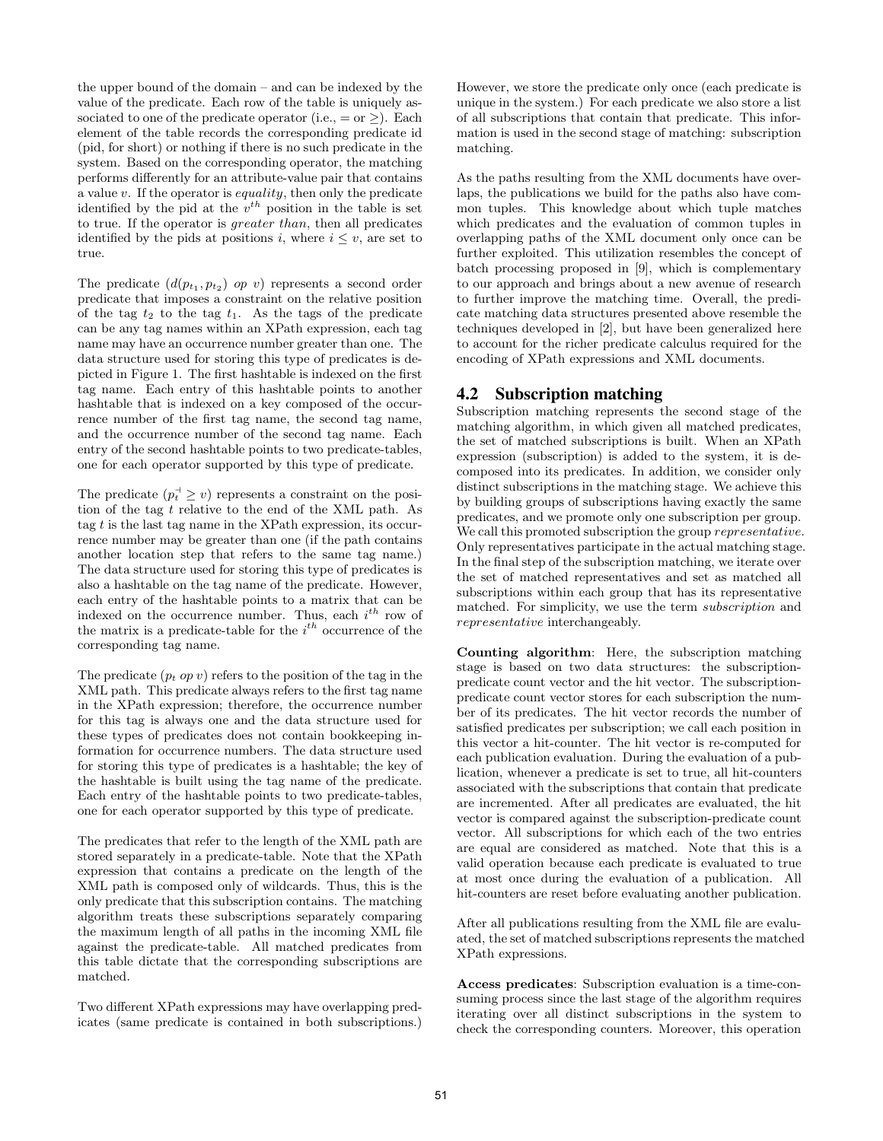the upper bound of the domain – and can be indexed by the value of the predicate. Each row of the table is uniquely associated to one of the predicate operator (i.e.,  $=$  or  $>$ ). Each element of the table records the corresponding predicate id (pid, for short) or nothing if there is no such predicate in the system. Based on the corresponding operator, the matching performs differently for an attribute-value pair that contains a value  $v$ . If the operator is *equality*, then only the predicate identified by the pid at the  $v^{th}$  position in the table is set to true. If the operator is greater than, then all predicates identified by the pids at positions i, where  $i \leq v$ , are set to true.

The predicate  $(d(p_{t_1}, p_{t_2})$  op v) represents a second order predicate that imposes a constraint on the relative position of the tag  $t_2$  to the tag  $t_1$ . As the tags of the predicate can be any tag names within an XPath expression, each tag name may have an occurrence number greater than one. The data structure used for storing this type of predicates is depicted in Figure 1. The first hashtable is indexed on the first tag name. Each entry of this hashtable points to another hashtable that is indexed on a key composed of the occurrence number of the first tag name, the second tag name, and the occurrence number of the second tag name. Each entry of the second hashtable points to two predicate-tables, one for each operator supported by this type of predicate.

The predicate  $(p_t^{\perp} \geq v)$  represents a constraint on the position of the tag t relative to the end of the XML path. As tag  $t$  is the last tag name in the XPath expression, its occurrence number may be greater than one (if the path contains another location step that refers to the same tag name.) The data structure used for storing this type of predicates is also a hashtable on the tag name of the predicate. However, each entry of the hashtable points to a matrix that can be indexed on the occurrence number. Thus, each  $i^{th}$  row of the matrix is a predicate-table for the  $i^{th}$  occurrence of the corresponding tag name.

The predicate  $(p_t \text{ op } v)$  refers to the position of the tag in the XML path. This predicate always refers to the first tag name in the XPath expression; therefore, the occurrence number for this tag is always one and the data structure used for these types of predicates does not contain bookkeeping information for occurrence numbers. The data structure used for storing this type of predicates is a hashtable; the key of the hashtable is built using the tag name of the predicate. Each entry of the hashtable points to two predicate-tables, one for each operator supported by this type of predicate.

The predicates that refer to the length of the XML path are stored separately in a predicate-table. Note that the XPath expression that contains a predicate on the length of the XML path is composed only of wildcards. Thus, this is the only predicate that this subscription contains. The matching algorithm treats these subscriptions separately comparing the maximum length of all paths in the incoming XML file against the predicate-table. All matched predicates from this table dictate that the corresponding subscriptions are matched.

Two different XPath expressions may have overlapping predicates (same predicate is contained in both subscriptions.) However, we store the predicate only once (each predicate is unique in the system.) For each predicate we also store a list of all subscriptions that contain that predicate. This information is used in the second stage of matching: subscription matching.

As the paths resulting from the XML documents have overlaps, the publications we build for the paths also have common tuples. This knowledge about which tuple matches which predicates and the evaluation of common tuples in overlapping paths of the XML document only once can be further exploited. This utilization resembles the concept of batch processing proposed in [9], which is complementary to our approach and brings about a new avenue of research to further improve the matching time. Overall, the predicate matching data structures presented above resemble the techniques developed in [2], but have been generalized here to account for the richer predicate calculus required for the encoding of XPath expressions and XML documents.

# **4.2 Subscription matching**

Subscription matching represents the second stage of the matching algorithm, in which given all matched predicates, the set of matched subscriptions is built. When an XPath expression (subscription) is added to the system, it is decomposed into its predicates. In addition, we consider only distinct subscriptions in the matching stage. We achieve this by building groups of subscriptions having exactly the same predicates, and we promote only one subscription per group. We call this promoted subscription the group representative. Only representatives participate in the actual matching stage. In the final step of the subscription matching, we iterate over the set of matched representatives and set as matched all subscriptions within each group that has its representative matched. For simplicity, we use the term subscription and representative interchangeably.

Counting algorithm: Here, the subscription matching stage is based on two data structures: the subscriptionpredicate count vector and the hit vector. The subscriptionpredicate count vector stores for each subscription the number of its predicates. The hit vector records the number of satisfied predicates per subscription; we call each position in this vector a hit-counter. The hit vector is re-computed for each publication evaluation. During the evaluation of a publication, whenever a predicate is set to true, all hit-counters associated with the subscriptions that contain that predicate are incremented. After all predicates are evaluated, the hit vector is compared against the subscription-predicate count vector. All subscriptions for which each of the two entries are equal are considered as matched. Note that this is a valid operation because each predicate is evaluated to true at most once during the evaluation of a publication. All hit-counters are reset before evaluating another publication.

After all publications resulting from the XML file are evaluated, the set of matched subscriptions represents the matched XPath expressions.

Access predicates: Subscription evaluation is a time-consuming process since the last stage of the algorithm requires iterating over all distinct subscriptions in the system to check the corresponding counters. Moreover, this operation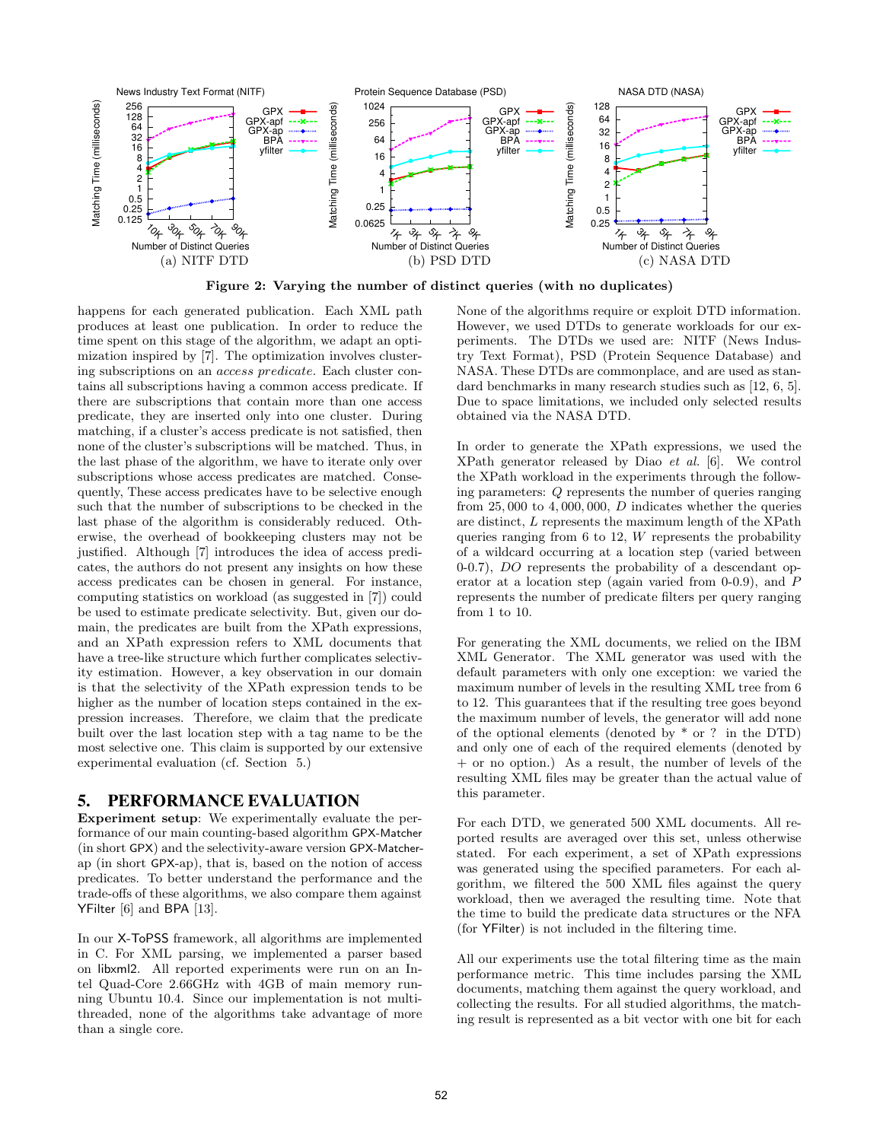

Figure 2: Varying the number of distinct queries (with no duplicates)

happens for each generated publication. Each XML path produces at least one publication. In order to reduce the time spent on this stage of the algorithm, we adapt an optimization inspired by [7]. The optimization involves clustering subscriptions on an access predicate. Each cluster contains all subscriptions having a common access predicate. If there are subscriptions that contain more than one access predicate, they are inserted only into one cluster. During matching, if a cluster's access predicate is not satisfied, then none of the cluster's subscriptions will be matched. Thus, in the last phase of the algorithm, we have to iterate only over subscriptions whose access predicates are matched. Consequently, These access predicates have to be selective enough such that the number of subscriptions to be checked in the last phase of the algorithm is considerably reduced. Otherwise, the overhead of bookkeeping clusters may not be justified. Although [7] introduces the idea of access predicates, the authors do not present any insights on how these access predicates can be chosen in general. For instance, computing statistics on workload (as suggested in [7]) could be used to estimate predicate selectivity. But, given our domain, the predicates are built from the XPath expressions, and an XPath expression refers to XML documents that have a tree-like structure which further complicates selectivity estimation. However, a key observation in our domain is that the selectivity of the XPath expression tends to be higher as the number of location steps contained in the expression increases. Therefore, we claim that the predicate built over the last location step with a tag name to be the most selective one. This claim is supported by our extensive experimental evaluation (cf. Section 5.)

## **5. PERFORMANCE EVALUATION**

Experiment setup: We experimentally evaluate the performance of our main counting-based algorithm GPX-Matcher (in short GPX) and the selectivity-aware version GPX-Matcherap (in short GPX-ap), that is, based on the notion of access predicates. To better understand the performance and the trade-offs of these algorithms, we also compare them against YFilter [6] and BPA [13].

In our X-ToPSS framework, all algorithms are implemented in C. For XML parsing, we implemented a parser based on libxml2. All reported experiments were run on an Intel Quad-Core 2.66GHz with 4GB of main memory running Ubuntu 10.4. Since our implementation is not multithreaded, none of the algorithms take advantage of more than a single core.

None of the algorithms require or exploit DTD information. However, we used DTDs to generate workloads for our experiments. The DTDs we used are: NITF (News Industry Text Format), PSD (Protein Sequence Database) and NASA. These DTDs are commonplace, and are used as standard benchmarks in many research studies such as [12, 6, 5]. Due to space limitations, we included only selected results obtained via the NASA DTD.

In order to generate the XPath expressions, we used the XPath generator released by Diao et al. [6]. We control the XPath workload in the experiments through the following parameters: Q represents the number of queries ranging from  $25,000$  to  $4,000,000$ ,  $D$  indicates whether the queries are distinct, L represents the maximum length of the XPath queries ranging from  $6$  to 12,  $W$  represents the probability of a wildcard occurring at a location step (varied between 0-0.7), DO represents the probability of a descendant operator at a location step (again varied from 0-0.9), and P represents the number of predicate filters per query ranging from 1 to 10.

For generating the XML documents, we relied on the IBM XML Generator. The XML generator was used with the default parameters with only one exception: we varied the maximum number of levels in the resulting XML tree from 6 to 12. This guarantees that if the resulting tree goes beyond the maximum number of levels, the generator will add none of the optional elements (denoted by  $*$  or ? in the DTD) and only one of each of the required elements (denoted by + or no option.) As a result, the number of levels of the resulting XML files may be greater than the actual value of this parameter.

For each DTD, we generated 500 XML documents. All reported results are averaged over this set, unless otherwise stated. For each experiment, a set of XPath expressions was generated using the specified parameters. For each algorithm, we filtered the 500 XML files against the query workload, then we averaged the resulting time. Note that the time to build the predicate data structures or the NFA (for YFilter) is not included in the filtering time.

All our experiments use the total filtering time as the main performance metric. This time includes parsing the XML documents, matching them against the query workload, and collecting the results. For all studied algorithms, the matching result is represented as a bit vector with one bit for each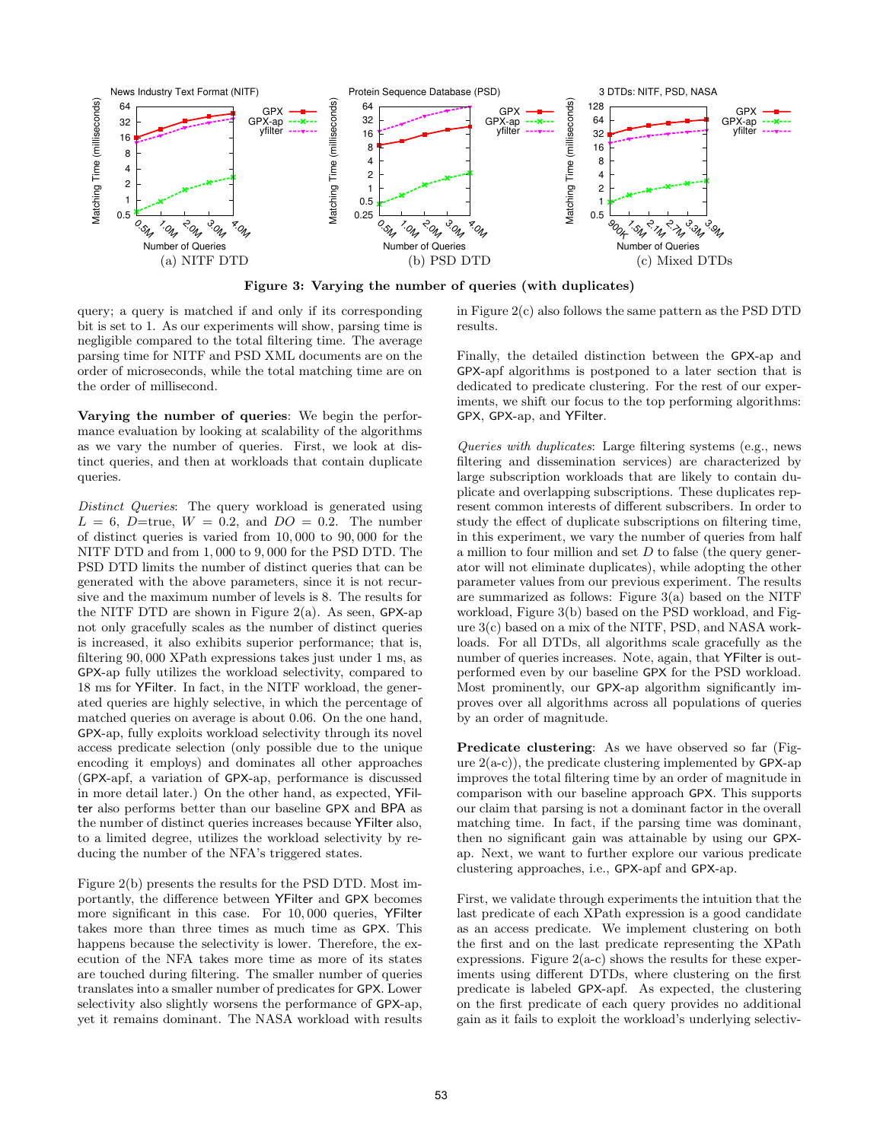

Figure 3: Varying the number of queries (with duplicates)

query; a query is matched if and only if its corresponding bit is set to 1. As our experiments will show, parsing time is negligible compared to the total filtering time. The average parsing time for NITF and PSD XML documents are on the order of microseconds, while the total matching time are on the order of millisecond.

Varying the number of queries: We begin the performance evaluation by looking at scalability of the algorithms as we vary the number of queries. First, we look at distinct queries, and then at workloads that contain duplicate queries.

Distinct Queries: The query workload is generated using  $L = 6$ , D=true,  $W = 0.2$ , and  $DO = 0.2$ . The number of distinct queries is varied from 10, 000 to 90, 000 for the NITF DTD and from 1, 000 to 9, 000 for the PSD DTD. The PSD DTD limits the number of distinct queries that can be generated with the above parameters, since it is not recursive and the maximum number of levels is 8. The results for the NITF DTD are shown in Figure  $2(a)$ . As seen, GPX-ap not only gracefully scales as the number of distinct queries is increased, it also exhibits superior performance; that is, filtering 90, 000 XPath expressions takes just under 1 ms, as GPX-ap fully utilizes the workload selectivity, compared to 18 ms for YFilter. In fact, in the NITF workload, the generated queries are highly selective, in which the percentage of matched queries on average is about 0.06. On the one hand, GPX-ap, fully exploits workload selectivity through its novel access predicate selection (only possible due to the unique encoding it employs) and dominates all other approaches (GPX-apf, a variation of GPX-ap, performance is discussed in more detail later.) On the other hand, as expected, YFilter also performs better than our baseline GPX and BPA as the number of distinct queries increases because YFilter also, to a limited degree, utilizes the workload selectivity by reducing the number of the NFA's triggered states.

Figure 2(b) presents the results for the PSD DTD. Most importantly, the difference between YFilter and GPX becomes more significant in this case. For 10, 000 queries, YFilter takes more than three times as much time as GPX. This happens because the selectivity is lower. Therefore, the execution of the NFA takes more time as more of its states are touched during filtering. The smaller number of queries translates into a smaller number of predicates for GPX. Lower selectivity also slightly worsens the performance of GPX-ap, yet it remains dominant. The NASA workload with results

in Figure 2(c) also follows the same pattern as the PSD DTD results.

Finally, the detailed distinction between the GPX-ap and GPX-apf algorithms is postponed to a later section that is dedicated to predicate clustering. For the rest of our experiments, we shift our focus to the top performing algorithms: GPX, GPX-ap, and YFilter.

Queries with duplicates: Large filtering systems (e.g., news filtering and dissemination services) are characterized by large subscription workloads that are likely to contain duplicate and overlapping subscriptions. These duplicates represent common interests of different subscribers. In order to study the effect of duplicate subscriptions on filtering time, in this experiment, we vary the number of queries from half a million to four million and set  $D$  to false (the query generator will not eliminate duplicates), while adopting the other parameter values from our previous experiment. The results are summarized as follows: Figure 3(a) based on the NITF workload, Figure 3(b) based on the PSD workload, and Figure 3(c) based on a mix of the NITF, PSD, and NASA workloads. For all DTDs, all algorithms scale gracefully as the number of queries increases. Note, again, that YFilter is outperformed even by our baseline GPX for the PSD workload. Most prominently, our GPX-ap algorithm significantly improves over all algorithms across all populations of queries by an order of magnitude.

Predicate clustering: As we have observed so far (Figure  $2(a-c)$ , the predicate clustering implemented by GPX-ap improves the total filtering time by an order of magnitude in comparison with our baseline approach GPX. This supports our claim that parsing is not a dominant factor in the overall matching time. In fact, if the parsing time was dominant, then no significant gain was attainable by using our GPXap. Next, we want to further explore our various predicate clustering approaches, i.e., GPX-apf and GPX-ap.

First, we validate through experiments the intuition that the last predicate of each XPath expression is a good candidate as an access predicate. We implement clustering on both the first and on the last predicate representing the XPath expressions. Figure  $2(a-c)$  shows the results for these experiments using different DTDs, where clustering on the first predicate is labeled GPX-apf. As expected, the clustering on the first predicate of each query provides no additional gain as it fails to exploit the workload's underlying selectiv-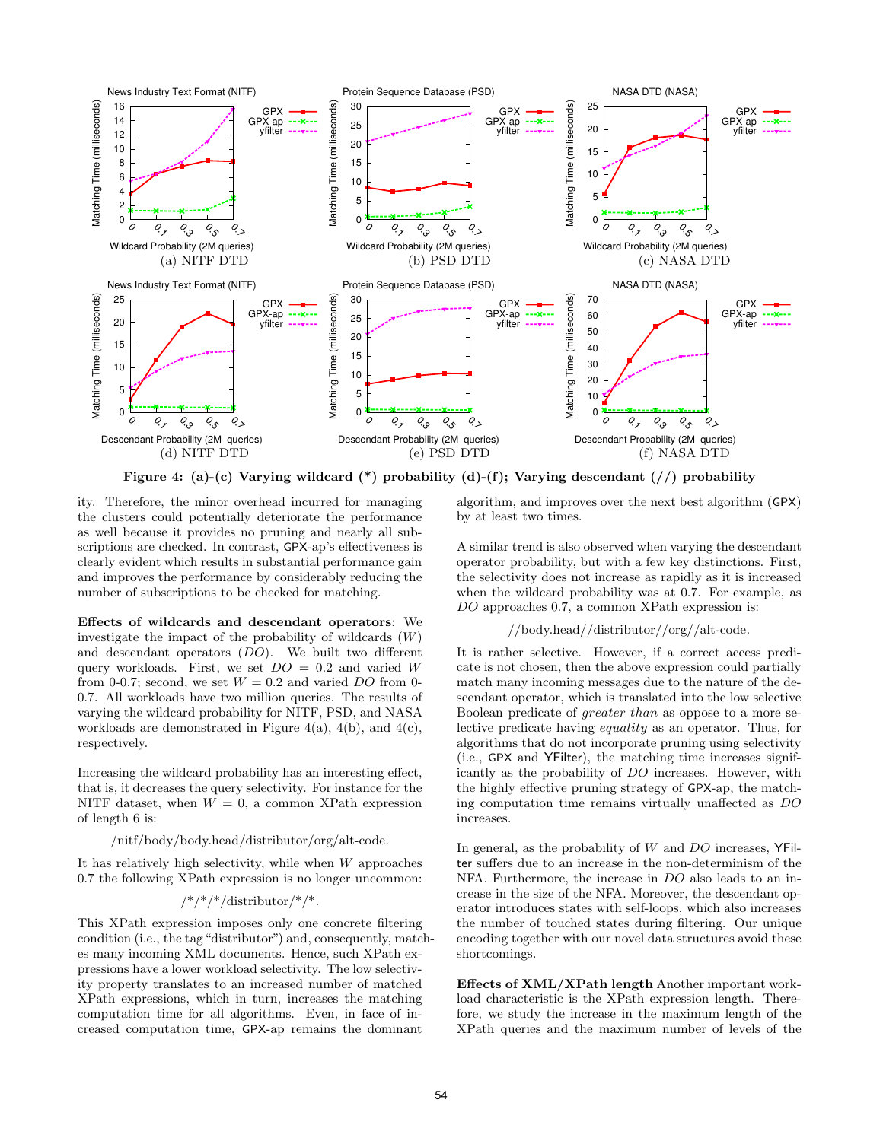

Figure 4: (a)-(c) Varying wildcard (\*) probability (d)-(f); Varying descendant  $\left(\frac{1}{1}\right)$  probability

ity. Therefore, the minor overhead incurred for managing the clusters could potentially deteriorate the performance as well because it provides no pruning and nearly all subscriptions are checked. In contrast, GPX-ap's effectiveness is clearly evident which results in substantial performance gain and improves the performance by considerably reducing the number of subscriptions to be checked for matching.

Effects of wildcards and descendant operators: We investigate the impact of the probability of wildcards  $(W)$ and descendant operators (DO). We built two different query workloads. First, we set  $DO = 0.2$  and varied W from 0-0.7; second, we set  $W = 0.2$  and varied DO from 0-0.7. All workloads have two million queries. The results of varying the wildcard probability for NITF, PSD, and NASA workloads are demonstrated in Figure 4(a), 4(b), and 4(c), respectively.

Increasing the wildcard probability has an interesting effect, that is, it decreases the query selectivity. For instance for the NITF dataset, when  $W = 0$ , a common XPath expression of length 6 is:

## /nitf/body/body.head/distributor/org/alt-code.

It has relatively high selectivity, while when  $W$  approaches 0.7 the following XPath expression is no longer uncommon:

#### $/\frac{*}{*}/\frac{*}{\text{distribution}}/\frac{*}{*}.$

This XPath expression imposes only one concrete filtering condition (i.e., the tag "distributor") and, consequently, matches many incoming XML documents. Hence, such XPath expressions have a lower workload selectivity. The low selectivity property translates to an increased number of matched XPath expressions, which in turn, increases the matching computation time for all algorithms. Even, in face of increased computation time, GPX-ap remains the dominant

algorithm, and improves over the next best algorithm (GPX) by at least two times.

A similar trend is also observed when varying the descendant operator probability, but with a few key distinctions. First, the selectivity does not increase as rapidly as it is increased when the wildcard probability was at 0.7. For example, as DO approaches 0.7, a common XPath expression is:

#### //body.head//distributor//org//alt-code.

It is rather selective. However, if a correct access predicate is not chosen, then the above expression could partially match many incoming messages due to the nature of the descendant operator, which is translated into the low selective Boolean predicate of greater than as oppose to a more selective predicate having equality as an operator. Thus, for algorithms that do not incorporate pruning using selectivity (i.e., GPX and YFilter), the matching time increases significantly as the probability of DO increases. However, with the highly effective pruning strategy of GPX-ap, the matching computation time remains virtually unaffected as DO increases.

In general, as the probability of  $W$  and  $DO$  increases,  $Y$ Filter suffers due to an increase in the non-determinism of the NFA. Furthermore, the increase in DO also leads to an increase in the size of the NFA. Moreover, the descendant operator introduces states with self-loops, which also increases the number of touched states during filtering. Our unique encoding together with our novel data structures avoid these shortcomings.

Effects of XML/XPath length Another important workload characteristic is the XPath expression length. Therefore, we study the increase in the maximum length of the XPath queries and the maximum number of levels of the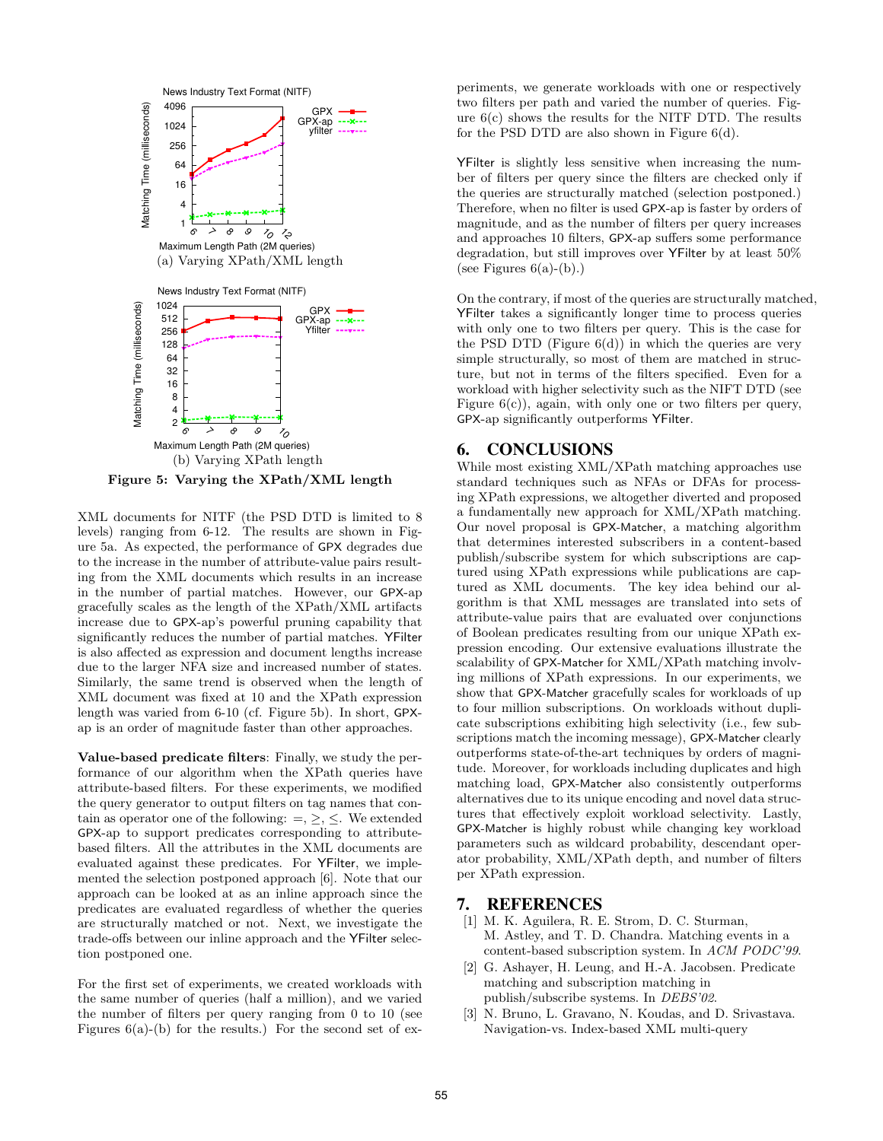

Figure 5: Varying the XPath/XML length

XML documents for NITF (the PSD DTD is limited to 8 levels) ranging from 6-12. The results are shown in Figure 5a. As expected, the performance of GPX degrades due to the increase in the number of attribute-value pairs resulting from the XML documents which results in an increase in the number of partial matches. However, our GPX-ap gracefully scales as the length of the XPath/XML artifacts increase due to GPX-ap's powerful pruning capability that significantly reduces the number of partial matches. YFilter is also affected as expression and document lengths increase due to the larger NFA size and increased number of states. Similarly, the same trend is observed when the length of XML document was fixed at 10 and the XPath expression length was varied from 6-10 (cf. Figure 5b). In short, GPXap is an order of magnitude faster than other approaches.

Value-based predicate filters: Finally, we study the performance of our algorithm when the XPath queries have attribute-based filters. For these experiments, we modified the query generator to output filters on tag names that contain as operator one of the following:  $=$ ,  $>$ ,  $\leq$ . We extended GPX-ap to support predicates corresponding to attributebased filters. All the attributes in the XML documents are evaluated against these predicates. For YFilter, we implemented the selection postponed approach [6]. Note that our approach can be looked at as an inline approach since the predicates are evaluated regardless of whether the queries are structurally matched or not. Next, we investigate the trade-offs between our inline approach and the YFilter selection postponed one.

For the first set of experiments, we created workloads with the same number of queries (half a million), and we varied the number of filters per query ranging from 0 to 10 (see Figures  $6(a)$ -(b) for the results.) For the second set of experiments, we generate workloads with one or respectively two filters per path and varied the number of queries. Figure 6(c) shows the results for the NITF DTD. The results for the PSD DTD are also shown in Figure 6(d).

YFilter is slightly less sensitive when increasing the number of filters per query since the filters are checked only if the queries are structurally matched (selection postponed.) Therefore, when no filter is used GPX-ap is faster by orders of magnitude, and as the number of filters per query increases and approaches 10 filters, GPX-ap suffers some performance degradation, but still improves over YFilter by at least 50% (see Figures  $6(a)-(b)$ .)

On the contrary, if most of the queries are structurally matched, YFilter takes a significantly longer time to process queries with only one to two filters per query. This is the case for the PSD DTD (Figure  $6(d)$ ) in which the queries are very simple structurally, so most of them are matched in structure, but not in terms of the filters specified. Even for a workload with higher selectivity such as the NIFT DTD (see Figure  $6(c)$ ), again, with only one or two filters per query, GPX-ap significantly outperforms YFilter.

# **6. CONCLUSIONS**

While most existing XML/XPath matching approaches use standard techniques such as NFAs or DFAs for processing XPath expressions, we altogether diverted and proposed a fundamentally new approach for XML/XPath matching. Our novel proposal is GPX-Matcher, a matching algorithm that determines interested subscribers in a content-based publish/subscribe system for which subscriptions are captured using XPath expressions while publications are captured as XML documents. The key idea behind our algorithm is that XML messages are translated into sets of attribute-value pairs that are evaluated over conjunctions of Boolean predicates resulting from our unique XPath expression encoding. Our extensive evaluations illustrate the scalability of GPX-Matcher for XML/XPath matching involving millions of XPath expressions. In our experiments, we show that GPX-Matcher gracefully scales for workloads of up to four million subscriptions. On workloads without duplicate subscriptions exhibiting high selectivity (i.e., few subscriptions match the incoming message), GPX-Matcher clearly outperforms state-of-the-art techniques by orders of magnitude. Moreover, for workloads including duplicates and high matching load, GPX-Matcher also consistently outperforms alternatives due to its unique encoding and novel data structures that effectively exploit workload selectivity. Lastly, GPX-Matcher is highly robust while changing key workload parameters such as wildcard probability, descendant operator probability, XML/XPath depth, and number of filters per XPath expression.

#### **7. REFERENCES**

- [1] M. K. Aguilera, R. E. Strom, D. C. Sturman, M. Astley, and T. D. Chandra. Matching events in a content-based subscription system. In ACM PODC'99.
- [2] G. Ashayer, H. Leung, and H.-A. Jacobsen. Predicate matching and subscription matching in publish/subscribe systems. In DEBS'02.
- [3] N. Bruno, L. Gravano, N. Koudas, and D. Srivastava. Navigation-vs. Index-based XML multi-query